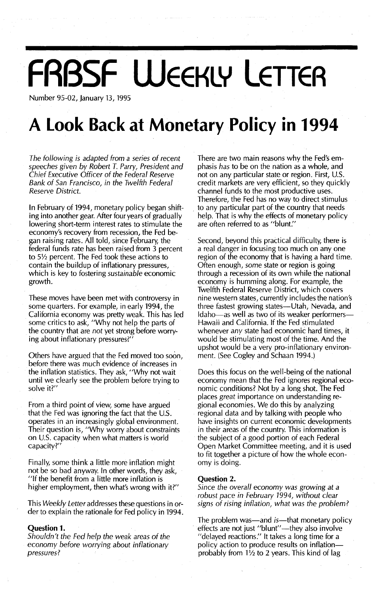## **FRBSF WEEKLY LETTER**

Number 95-02, January 13, 1995

### **A Look Back at Monetary Policy in 1994**

*The following is adapted from* a *series* of *recent speeches given by Robert T. Parry, President and Chief Executive Officer* of *the Federal Reserve Bank* of *San Francisco, in the Twelfth Federal Reserve District.*

In February of 1994, monetary policy began shifting into another gear. After four years of gradually lowering short-term interest rates to stimulate the economy's recovery from recession, the Fed began raising rates. All told, since February, the federal funds rate has been raised from 3 percent to  $5\frac{1}{2}$  percent. The Fed took these actions to contain the buildup of inflationary pressures, which is key to fostering *sustainable* economic growth.

These moves have been met with controversy in some quarters. For example, in early 1994, the California economy was pretty weak. This has led some critics to ask, "Why not help the parts of the country that are *not* yet strong before worrying about inflationary pressures?"

Others have argued that the Fed moved too soon, before there was much evidence of increases in the inflation statistics. They ask, "Why not wait until we clearly see the problem before trying to solve it?"

From a third point of view, some have argued that the Fed was ignoring the fact that the  $U.S.$ operates in an increasingly global environment. Their question is, "Why worry about constraints on U.s. capacity when what matters is world capacity?"

Finally, some think a little more inflation might not be so bad anyway. In other words, they ask, "If the benefit from a little more inflation is higher employment, then what's wrong with it?"

This *Weekly Letter* addresses these questions in order to explain the rationale for Fed policy in 1994.

#### Question 1.

*Shouldn't the Fed help the weak areas* of *the* economy *before worrying about inflationary pressures?*

There are two main reasons why the Fed's emphasis *has* to be on the nation as a whole, and not on any particular state or region. First, U.S. credit markets are very efficient, so they quickly channel funds to the most productive uses. Therefore, the Fed has no way to direct stimulus to any particular part of the country that needs help. That is why the effects of monetary policy are often referred to as "blunt."

Second, beyond this practical difficulty, there is a real danger in focusing too much on anyone region of the economy that is having a hard time. Often enough, *some* state or region is going through a recession of its own while the national economy is humming along. For example, the Twelfth Federal Reserve District, which covers nine western states, currently includes the nation's three fastest growing states-Utah, Nevada, and Idaho-as well as two of its weaker performers-Hawaii and California. If the Fed stimulated whenever *any* state had economic hard times, it would be stimulating most of the time. And the upshot would be avery pro-inflationary environment. (See Cogley and Schaan 1994.)

Does this focus on the well-being of the national economy mean that the Fed ignores regional economic conditions? Not by a long shot. The Fed places *great* importance on understanding regional economies. We do this by analyzing regional data and by talking with people who have insights on current economic developments in their areas of the country. This information is the subject of a good portion of each Federal Open Market Committee meeting, and it is used to fit together a picture of how the whole economy is doing.

#### Question 2.

*Since the overall economy was growing at* a *robust pace in February* 1994, *without clear signs* of *rising inflation, what was the problem?*

The problem was—and *is*—that monetary policy effects are not just "blunt"-they also involve "delayed reactions." It takes a long time for a policy action to produce results on inflationprobably from *1V2* to 2 years. This kind of lag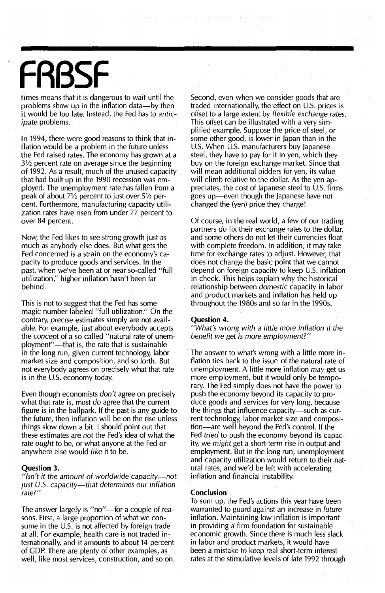# **FRBSF**

times means that it is dangerous to wait until the problems show up in the inflation data-by then it would be too late. Instead, the Fed has to *anticipate* problems.

In 1994, there were good reasons to think that inflation would be a problem in the future unless the Fed raised rates. The economy has grown at a 3% percent rate on average since the beginning of 1992. As a result, much of the unused capacity that had built up in the 1990 recession was employed. The unemployment rate has fallen from a peak of about  $7\frac{1}{2}$  percent to just over  $5\frac{1}{2}$  percent. Furthermore, manufacturing capacity utilization rates have risen from under 77 percent to over 84 percent.

Now, the Fed likes to see strong growth just as much as anybody else does. But what gets the Fed concerned is a strain on the economy's capacity to produce goods and services. In the past, when we've been at or near so-called "full utiiization," higher inflation hasn't been far behind.

This is not to suggest that the Fed has some magic number labeled "full utilization." On the contrary, *precise* estimates simply are not available. For example, just about everybody accepts the *concept* of a so-called "natural rate of unemployment"--- that is, the rate that is sustainable in the long run, given current technology, labor market size and composition, and so forth. But not everybody agrees on precisely what that rate is in the U.S. economy today.

Even though economists *don't* agree on precisely what that rate is, most *do* agree that the current figure is in the ballpark. If the past is any guide to the future, then inflation will be on the rise unless things slow down a bit. I should point out that these estimates are *not* the Fed's idea of what the rate *ought* to be, or what anyone at the Fed or anywhere else would *like* it to be.

#### **Question** 3.

*"/sn't it the amount of worldwide capacity-:-not just u.s. capacity-that determines our inflation rate?"*

The answer largely is "no"-for a couple of reasons. First, a large proportion of what we consume in the U.S. is not affected by foreign trade at all. For example, health care is not traded internationally, and it amounts to about 14 percent of GDP. There are plenty of other examples, as well, like most services, construction, and so on.

Second, even when we consider goods that are traded internationally, the effect on U.S. prices is offset to a large extent by *flexible exchange rates.* This offset can be illustrated with a very simplified example. Suppose the price of steel, or some other good, is lower in japan than in the U.S. When U.S. manufacturers buy Japanese steel, they have to pay for it in yen, which they buy on the foreign exchange market. Since that will mean additional bidders for yen, its value will climb relative to the dollar. As the yen appreciates, the cost of Japanese steel to U.S. firms goes up-even though the japanese have not changed the (yen) price they charge!

Of course, in the real world, a few of our trading partners *do* fix their exchange rates to the dollar, and some others do not let their currencies float with complete freedom. In addition, it may take time for exchange rates to adjust. However, that does not change the basic point that we cannot depend on foreign capacity to keep U.S. inflation in check. This helps explain why the historical relationship between *domestic* capacity in labor and product markets and inflation has held up throughout the 1980s and so far in the 1990s.

#### **Question** 4.

*"What's wrong with* a *little more inflation* if *the benefit* we *get is more employment?"*

The answer to what's wrong with a Iittle more inflation ties back to the issue of the natural rate of unemployment. A little more inflation *may* get us more employment, but it would only be temporary. The Fed simply does not have the power to push the economy beyond its capacity to produce goods and services for very long, because the things that influence capacity-such as current technology, labor market size and composition-are well beyond the Fed's control. If the Fed *tried* to push the economy beyond its capacity, we *might* get a short-term rise in output and employment. But in the long run, unemployment and capacity utilization would return to their natural rates, and we'd be left with accelerating inflation and financial instability.

#### **Conclusion**

To sum up, the Fed's actions this year have been warranted to guard against an increase in *future* inflation. Maintaining low inflation is important in providing a firm foundation for sustainable economic growth. Since there is much less slack in labor and product markets, it would have been a mistake to keep real short-term interest rates at the stimulative levels of late 1992 through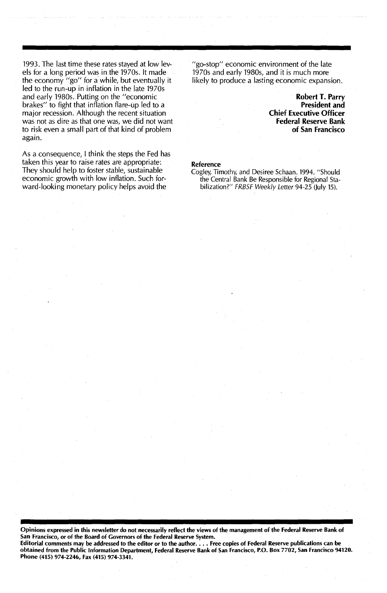1993. The last time these rates stayed at low levels for a long period was in the 1970s. It made the economy "go" for a while, but eventually it led to the run-up in inflation in the late 1970s and early 1980s. Putting on the "economic brakes" to fight that inflation flare-up led to a major recession. Although the recent situation was not as dire as that one was, we did not want to risk even a small part of that kind of problem again.

As a consequence, I think the steps the Fed has taken this year to raise rates are appropriate: They should help to foster stable, sustainable economic growth with low inflation. Such forward-looking monetary policy helps avoid the

"go-stop" economic environment of the late 1970s and early 1980s, and it is much more likely to produce a lasting economic expansion.

> Robert T. Parry President and Chief Executive Officer Federal Reserve Bank of San Francisco

#### Reference

Cogley, Timothy, and Desiree Schaan. 1994. "Should the Central Bank Be Responsible for Regional Stabilization?" FRBSF Weekly Letter 94-25 (July 15).

Opinions expressed in this newsletter do not necessarily reflect the views of the management of the Federal Reserve Bank of San Francisco, or of the Board of Governors of the Federal Reserve System. Editorial comments may be addressed to the editor or to the author.... Free copies of Federal Reserve publications can be obtained from the Public Information Department, Federal Reserve Bank of San Francisco, P.O. Box 7702, San francisco 94120. Phone (415) 974-2246, Fax (415) 974-3341.